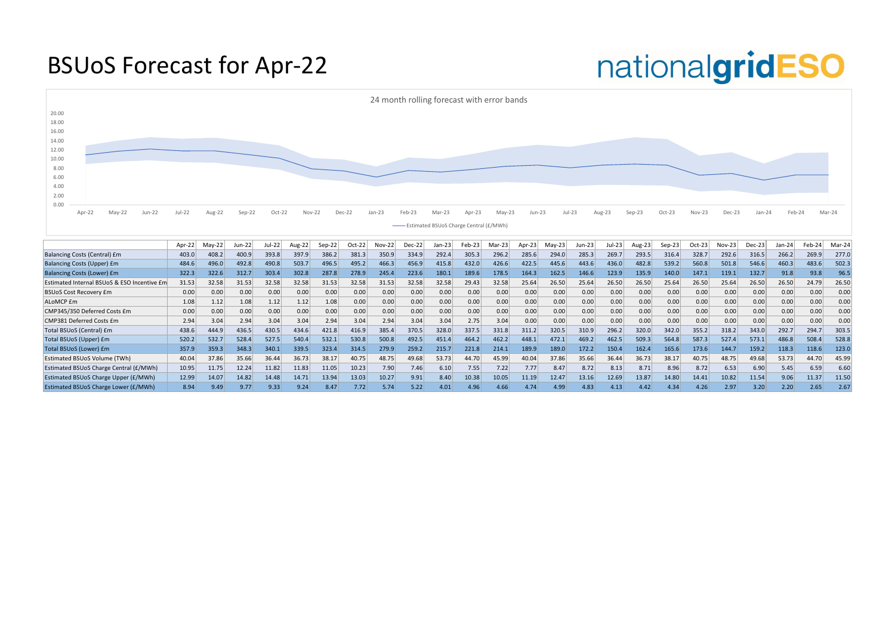#### BSUoS Forecast for Apr-22

|                                             | Apr-22 | $May-22$ | Jun-22 | Jul-22 | Aug-22 | $Sep-22$ | Oct-22 | Nov-22 | Dec-22 | Jan-23 | Feb-23 | $Mar-23$ | Apr-23 | May-23 | Jun-23 | Jul-23 | Aug-23 | $\varepsilon$ ep-23 | $Oct-23$ | Nov-23 | $Dec-23$ | Jan-24 | Feb-24 | Mar-24 |
|---------------------------------------------|--------|----------|--------|--------|--------|----------|--------|--------|--------|--------|--------|----------|--------|--------|--------|--------|--------|---------------------|----------|--------|----------|--------|--------|--------|
| Balancing Costs (Central) £m                | 403.0  | 408.2    | 400.9  | 393.8  | 397.9  | 386.2    | 381.3  | 350.9  | 334.9  | 292.4  | 305.3  | 296.2    | 285.6  | 294.0  | 285.3  | 269.7  | 293.5  | 316.4               | 328.7    | 292.6  | 316.5    | 266.2  | 269.9  | 277.0  |
| Balancing Costs (Upper) £m                  | 484.6  | 496.0    | 492.8  | 490.8  | 503.7  | 496.5    | 495.2  | 466.3  | 456.9  | 415.8  | 432.0  | 426.6    | 422.5  | 445.6  | 443.6  | 436.0  | 482.8  | 539.2               | 560.8    | 501.8  | 546.6    | 460.3  | 483.6  | 502.3  |
| <b>Balancing Costs (Lower) £m</b>           | 322.3  | 322.6    | 312.7  | 303.4  | 302.8  | 287.8    | 278.9  | 245.4  | 223.6  | 180.1  | 189.6  | 178.5    | 164.3  | 162.5  | 146.6  | 123.9  | 135.9  | 140.0               | 147.1    | 119.1  | 132.7    | 91.8   | 93.8   | 96.5   |
| Estimated Internal BSUoS & ESO Incentive £m | 31.53  | 32.58    | 31.53  | 32.58  | 32.58  | 31.53    | 32.58  | 31.53  | 32.58  | 32.58  | 29.43  | 32.58    | 25.64  | 26.50  | 25.64  | 26.50  | 26.50  | 25.64               | 26.50    | 25.64  | 26.50    | 26.50  | 24.79  | 26.50  |
| <b>BSUoS Cost Recovery £m</b>               | 0.00   | 0.00     | 0.00   | 0.00   | 0.00   | 0.00     | 0.00   | 0.00   | 0.00   | 0.00   | 0.00   | 0.00     | 0.00   | 0.00   | 0.00   | 0.00   | 0.00   | 0.00                | 0.00     | 0.00   | 0.00     | 0.00   | 0.00   | 0.00   |
| ALoMCP <i>fm</i>                            | 1.08   | 1.12     | 1.08   | 1.12   | 1.12   | 1.08     | 0.00   | 0.00   | 0.00   | 0.00   | 0.00   | 0.00     | 0.00   | 0.00   | 0.00   | 0.00   | 0.00   | 0.00                | 0.00     | 0.00   | 0.00     | 0.00   | 0.00   | 0.00   |
| CMP345/350 Deferred Costs £m                | 0.00   | 0.00     | 0.00   | 0.00   | 0.00   | 0.00     | 0.00   | 0.00   | 0.00   | 0.00   | 0.00   | 0.00     | 0.00   | 0.00   | 0.00   | 0.00   | 0.00   | 0.00                | 0.00     | 0.00   | 0.00     | 0.00   | 0.00   | 0.00   |
| CMP381 Deferred Costs £m                    | 2.94   | 3.04     | 2.94   | 3.04   | 3.04   | 2.94     | 3.04   | 2.94   | 3.04   | 3.04   | 2.75   | 3.04     | 0.00   | 0.00   | 0.00   | 0.00   | 0.00   | 0.00                | 0.00     | 0.00   | 0.00     | 0.00   | 0.00   | 0.00   |
| Total BSUoS (Central) £m                    | 438.6  | 444.9    | 436.5  | 430.5  | 434.6  | 421.8    | 416.9  | 385.4  | 370.5  | 328.0  | 337.5  | 331.8    | 311.2  | 320.5  | 310.9  | 296.2  | 320.0  | 342.0               | 355.2    | 318.2  | 343.0    | 292.7  | 294.7  | 303.5  |
| Total BSUoS (Upper) £m                      | 520.2  | 532.7    | 528.4  | 527.5  | 540.4  | 532.1    | 530.8  | 500.8  | 492.5  | 451.4  | 464.2  | 462.2    | 448.1  | 472.1  | 469.2  | 462.5  | 509.3  | 564.8               | 587.3    | 527.4  | 573.1    | 486.8  | 508.4  | 528.8  |
| Total BSUoS (Lower) £m                      | 357.9  | 359.3    | 348.3  | 340.1  | 339.5  | 323.4    | 314.5  | 279.9  | 259.2  | 215.7  | 221.8  | 214.1    | 189.9  | 189.0  | 172.2  | 150.4  | 162.4  | 165.6               | 173.6    | 144.7  | 159.2    | 118.3  | 118.6  | 123.0  |
| <b>Estimated BSUoS Volume (TWh)</b>         | 40.04  | 37.86    | 35.66  | 36.44  | 36.73  | 38.17    | 40.75  | 48.75  | 49.68  | 53.73  | 44.70  | 45.99    | 40.04  | 37.86  | 35.66  | 36.44  | 36.73  | 38.17               | 40.75    | 48.75  | 49.68    | 53.73  | 44.70  | 45.99  |
| Estimated BSUoS Charge Central (£/MWh)      | 10.95  | 11.75    | 12.24  | 11.82  | 11.83  | 11.05    | 10.23  | 7.90   | 7.46   | 6.10   | 7.55   | 7.22     | 7.77   | 8.47   | 8.72   | 8.13   | 8.71   | 8.96                | 8.72     | 6.53   | 6.90     | 5.45   | 6.59   | 6.60   |
| Estimated BSUoS Charge Upper (£/MWh)        | 12.99  | 14.07    | 14.82  | 14.48  | 14.71  | 13.94    | 13.03  | 10.27  | 9.91   | 8.40   | 10.38  | 10.05    | 11.19  | 12.47  | 13.16  | 12.69  | 13.87  | 14.80               | 14.41    | 10.82  | 11.54    | 9.06   | 11.37  | 11.50  |
| <b>Estimated BSUoS Charge Lower (£/MWh)</b> | 8.94   | 9.49     | 9.77   | 9.33   | 9.24   | 8.47     | 7.72   | 5.74   | 5.22   | 4.01   | 4.96   | 4.66     | 4.74   | 4.99   | 4.83   |        | 4.42   | 4.34                | 4.26     | 2.97   | 3.20     | 2.20   | 2.65   | 2.67   |

### nationalgridESO

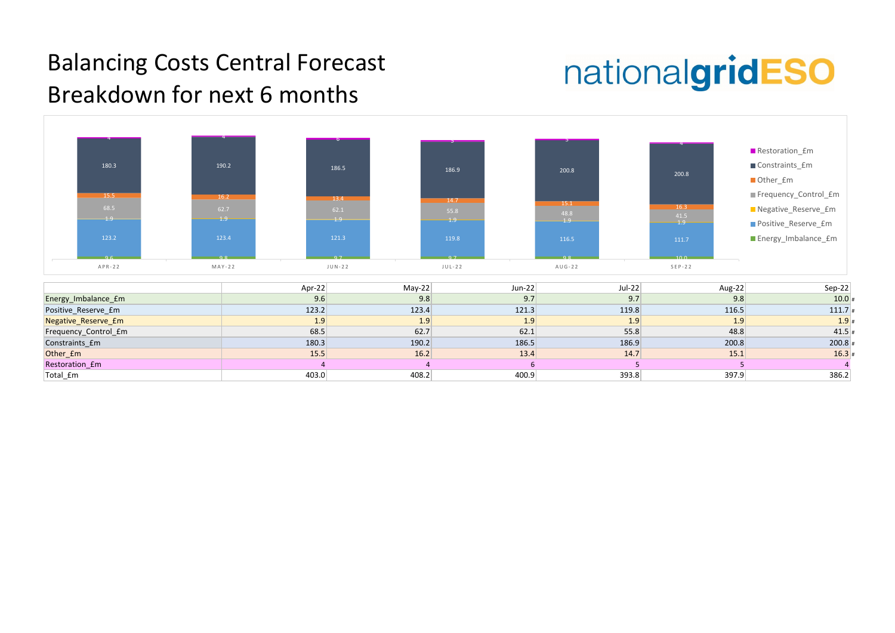

| $Sep-22$  | Aug-22 |
|-----------|--------|
| $10.0*$   | 9.8    |
| $111.7*$  | 116.5  |
| $1.9*$    | 1.9    |
| $41.5$ #  | 48.8   |
| $200.8$ # | 200.8  |
| $16.3*$   | 15.1   |
|           | 5      |
| 386.2     | 397.9  |

#### Balancing Costs Central Forecast Breakdown for next 6 months

## nationalgridESO